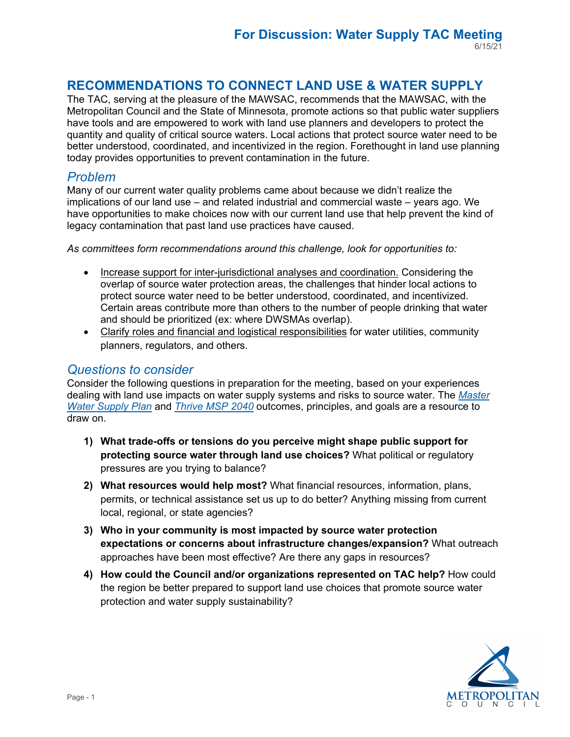# **RECOMMENDATIONS TO CONNECT LAND USE & WATER SUPPLY**

 have tools and are empowered to work with land use planners and developers to protect the quantity and quality of critical source waters. Local actions that protect source water need to be The TAC, serving at the pleasure of the MAWSAC, recommends that the MAWSAC, with the Metropolitan Council and the State of Minnesota, promote actions so that public water suppliers better understood, coordinated, and incentivized in the region. Forethought in land use planning today provides opportunities to prevent contamination in the future.

### *Problem*

 legacy contamination that past land use practices have caused. Many of our current water quality problems came about because we didn't realize the implications of our land use – and related industrial and commercial waste – years ago. We have opportunities to make choices now with our current land use that help prevent the kind of

*As committees form recommendations around this challenge, look for opportunities to:* 

- Increase support for inter-jurisdictional analyses and coordination. Considering the overlap of source water protection areas, the challenges that hinder local actions to protect source water need to be better understood, coordinated, and incentivized. Certain areas contribute more than others to the number of people drinking that water and should be prioritized (ex: where DWSMAs overlap).
- Clarify roles and financial and logistical responsibilities for water utilities, community planners, regulators, and others.

### *Questions to consider*

Consider the following questions in preparation for the meeting, based on your experiences dealing with land use impacts on water supply systems and risks to source water. The *[Master](https://metrocouncil.org/Wastewater-Water/Planning/Water-Supply-Planning/Planners/Master-Water-Supply-Plan.aspx)  [Water Supply Plan](https://metrocouncil.org/Wastewater-Water/Planning/Water-Supply-Planning/Planners/Master-Water-Supply-Plan.aspx)* and*[Thrive MSP 2040](https://metrocouncil.org/Planning/Projects/Thrive-2040/Thrive-MSP-2040-Plan.aspx?source=child)* outcomes, principles, and goals are a resource to draw on.

- **1) What trade-offs or tensions do you perceive might shape public support for protecting source water through land use choices?** What political or regulatory pressures are you trying to balance?
- **2) What resources would help most?** What financial resources, information, plans, permits, or technical assistance set us up to do better? Anything missing from current local, regional, or state agencies?
- **3) Who in your community is most impacted by source water protection expectations or concerns about infrastructure changes/expansion?** What outreach approaches have been most effective? Are there any gaps in resources?
- **4) How could the Council and/or organizations represented on TAC help?** How could the region be better prepared to support land use choices that promote source water protection and water supply sustainability?

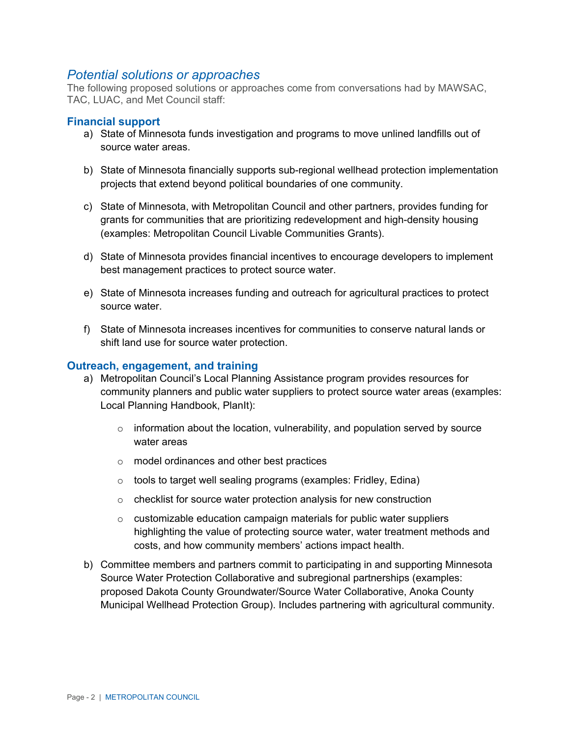### *Potential solutions or approaches*

The following proposed solutions or approaches come from conversations had by MAWSAC, TAC, LUAC, and Met Council staff:

#### **Financial support**

- a) State of Minnesota funds investigation and programs to move unlined landfills out of source water areas.
- b) State of Minnesota financially supports sub-regional wellhead protection implementation projects that extend beyond political boundaries of one community.
- c) State of Minnesota, with Metropolitan Council and other partners, provides funding for grants for communities that are prioritizing redevelopment and high-density housing (examples: Metropolitan Council Livable Communities Grants).
- d) State of Minnesota provides financial incentives to encourage developers to implement best management practices to protect source water.
- e) State of Minnesota increases funding and outreach for agricultural practices to protect source water.
- f) State of Minnesota increases incentives for communities to conserve natural lands or shift land use for source water protection.

#### **Outreach, engagement, and training**

- a) Metropolitan Council's Local Planning Assistance program provides resources for community planners and public water suppliers to protect source water areas (examples: Local Planning Handbook, PlanIt):
	- $\circ$  information about the location, vulnerability, and population served by source water areas
	- o model ordinances and other best practices
	- $\circ$  tools to target well sealing programs (examples: Fridley, Edina)
	- $\circ$  checklist for source water protection analysis for new construction
	- $\circ$  customizable education campaign materials for public water suppliers highlighting the value of protecting source water, water treatment methods and costs, and how community members' actions impact health.
- b) Committee members and partners commit to participating in and supporting Minnesota Source Water Protection Collaborative and subregional partnerships (examples: proposed Dakota County Groundwater/Source Water Collaborative, Anoka County Municipal Wellhead Protection Group). Includes partnering with agricultural community.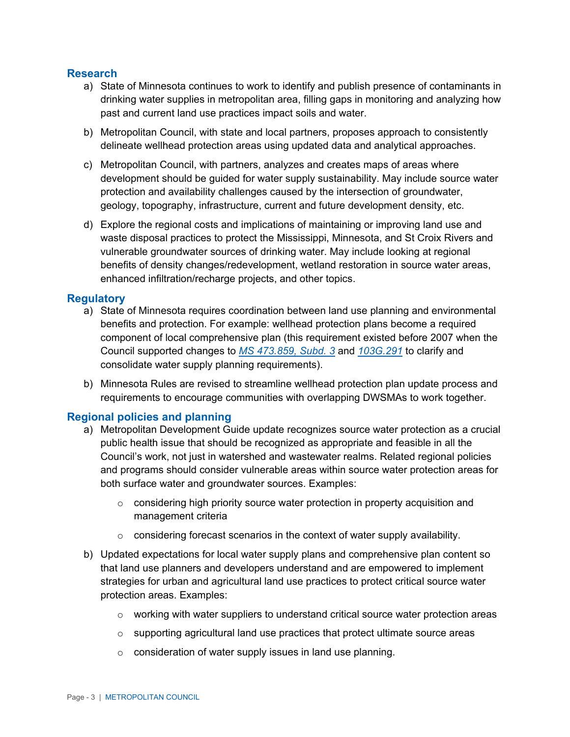#### **Research**

- a) State of Minnesota continues to work to identify and publish presence of contaminants in drinking water supplies in metropolitan area, filling gaps in monitoring and analyzing how past and current land use practices impact soils and water.
- b) Metropolitan Council, with state and local partners, proposes approach to consistently delineate wellhead protection areas using updated data and analytical approaches.
- c) Metropolitan Council, with partners, analyzes and creates maps of areas where development should be guided for water supply sustainability. May include source water protection and availability challenges caused by the intersection of groundwater, geology, topography, infrastructure, current and future development density, etc.
- waste disposal practices to protect the Mississippi, Minnesota, and St Croix Rivers and d) Explore the regional costs and implications of maintaining or improving land use and vulnerable groundwater sources of drinking water. May include looking at regional benefits of density changes/redevelopment, wetland restoration in source water areas, enhanced infiltration/recharge projects, and other topics.

#### **Regulatory**

- a) State of Minnesota requires coordination between land use planning and environmental benefits and protection. For example: wellhead protection plans become a required component of local comprehensive plan (this requirement existed before 2007 when the Council supported changes to*[MS 473.859, Subd. 3](https://www.revisor.mn.gov/statutes/cite/473.859)* and *[103G.291](https://www.revisor.mn.gov/statutes/cite/103G.291)* to clarify and consolidate water supply planning requirements).
- b) Minnesota Rules are revised to streamline wellhead protection plan update process and requirements to encourage communities with overlapping DWSMAs to work together.

### **Regional policies and planning**

- a) Metropolitan Development Guide update recognizes source water protection as a crucial public health issue that should be recognized as appropriate and feasible in all the Council's work, not just in watershed and wastewater realms. Related regional policies and programs should consider vulnerable areas within source water protection areas for both surface water and groundwater sources. Examples:
	- $\circ$  considering high priority source water protection in property acquisition and management criteria
	- $\circ$  considering forecast scenarios in the context of water supply availability.
- b) Updated expectations for local water supply plans and comprehensive plan content so that land use planners and developers understand and are empowered to implement strategies for urban and agricultural land use practices to protect critical source water protection areas. Examples:
	- $\circ$  working with water suppliers to understand critical source water protection areas
	- $\circ$  supporting agricultural land use practices that protect ultimate source areas
	- o consideration of water supply issues in land use planning.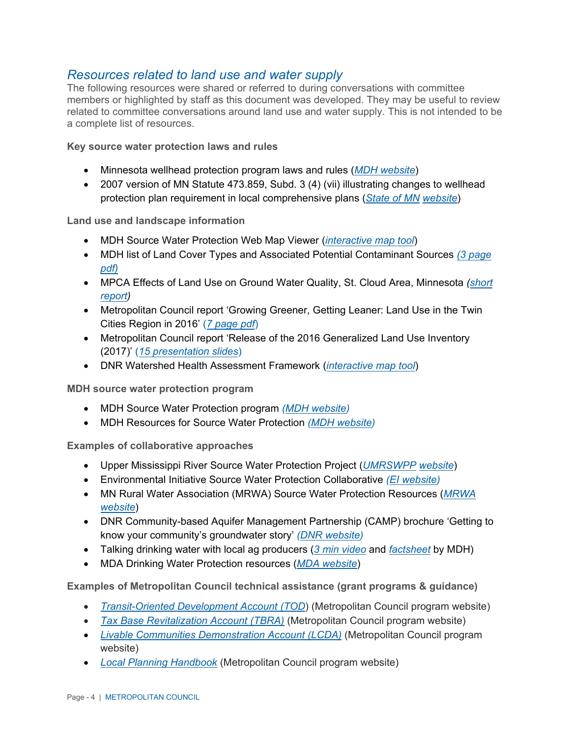## *Resources related to land use and water supply*

The following resources were shared or referred to during conversations with committee members or highlighted by staff as this document was developed. They may be useful to review related to committee conversations around land use and water supply. This is not intended to be a complete list of resources.

**Key source water protection laws and rules** 

- Minnesota wellhead protection program laws and rules [\(](https://www.health.state.mn.us/communities/environment/water/swp/laws.html)*[MDH website](https://www.health.state.mn.us/communities/environment/water/swp/laws.html)*)
- protection plan requirement in local comprehensive plans (*[State of MN](https://www.revisor.mn.gov/laws/2007/0/131/) [website](https://www.revisor.mn.gov/laws/2007/0/131/)*) • 2007 version of MN Statute 473.859, Subd. 3 (4) (vii) illustrating changes to wellhead

**Land use and landscape information** 

- MDH Source Water Protection Web Map Viewer [\(](https://mdh.maps.arcgis.com/apps/View/index.html?appid=5051b7d910234421b0728c40a1433baa)*[interactive map tool](https://mdh.maps.arcgis.com/apps/View/index.html?appid=5051b7d910234421b0728c40a1433baa)*)
- MDH list of Land Cover Types and Associated Potential Contaminant Sources *[\(3 page](https://www.health.state.mn.us/communities/environment/water/docs/swp/nlcclassiftn.pdf)  [pdf\)](https://www.health.state.mn.us/communities/environment/water/docs/swp/nlcclassiftn.pdf)*
- MPCA Effects of Land Use on Ground Water Quality, St. Cloud Area, Minnesota *[\(short](https://www.pca.state.mn.us/sites/default/files/rpt-landuse-sc-short.pdf)  [report\)](https://www.pca.state.mn.us/sites/default/files/rpt-landuse-sc-short.pdf)*
- • Metropolitan Council report 'Growing Greener, Getting Leaner: Land Use in the Twin Cities Region in 2016' (*[7 page pdf](https://metrocouncil.org/Data-and-Maps/Publications-And-Resources/MetroStats/Construction-Activity/Growing-Greener,-Getting-Leaner-Land-Use-in-the-T.aspx)*)
- • Metropolitan Council report 'Release of the 2016 Generalized Land Use Inventory (2017)' (*[15 presentation slides](https://metrocouncil.org/Council-Meetings/Committees/Metropolitan-Council/2017/6-28-17/Info-Item-(Council-06-28-17)-Release-of-2016-Ge.aspx)*)
- DNR Watershed Health Assessment Framework [\(](https://arcgis.dnr.state.mn.us/ewr/whaf2/)*[interactive map tool](https://arcgis.dnr.state.mn.us/ewr/whaf2/)*)

**MDH source water protection program** 

- MDH Source Water Protection program *[\(MDH website\)](https://www.health.state.mn.us/communities/environment/water/swp/index.htm)*
- MDH Resources for Source Water Protection *[\(MDH website\)](https://www.health.state.mn.us/communities/environment/water/swp/resources.html)*

**Examples of collaborative approaches** 

- Upper Mississippi River Source Water Protection Project (*[UMRSWPP](http://www.umrswpp.com/) [website](http://www.umrswpp.com/)*)
- Environmental Initiative Source Water Protection Collaborative *[\(EI website\)](https://environmental-initiative.org/work/source-water-protection-collaborative/)*
- MN Rural Water Association (MRWA) Source Water Protection Resources (*[MRWA](http://www.mrwa.com/sourcewater.html)  [website](http://www.mrwa.com/sourcewater.html)*)
- DNR Community-based Aquifer Management Partnership (CAMP) brochure 'Getting to know your community's groundwater story' *[\(DNR website\)](https://files.dnr.state.mn.us/waters/gwmp/camp/brochure-camp.pdf)*
- Talking drinking water with local ag producers (*[3 min video](https://www.youtube.com/watch?v=hG_o1Obe_Gs&list=PLnv1INVkmxmvRsvbc37JEI0mvRCXa6nFt)* and *[factsheet](https://www.health.state.mn.us/communities/environment/water/docs/swp/talkingdw.pdf)* by MDH)
- MDA Drinking Water Protection resources (*[MDA website](https://www.mda.state.mn.us/drinking-water-protection)*)

**Examples of Metropolitan Council technical assistance (grant programs & guidance)** 

- *[Transit-Oriented Development Account \(TOD](https://metrocouncil.org/Communities/Services/Livable-Communities-Grants/Transit-Oriented-Development.aspx)*) (Metropolitan Council program website)
- *[Tax Base Revitalization Account \(TBRA\)](https://metrocouncil.org/Communities/Services/Livable-Communities-Grants/Tax-Base-Revitalization-Account-(TBRA).aspx)* (Metropolitan Council program website)
- *[Livable Communities Demonstration Account \(LCDA\)](file://rafsshare.mc.local/shared/EQA/WaterSupAdvCommitt/2021/TAC/06.15.2021/Livable%20Communities%20Demonstration%20Account%20(LCDA))* (Metropolitan Council program website)
- *[Local Planning Handbook](https://metrocouncil.org/Handbook.aspx)* (Metropolitan Council program website)